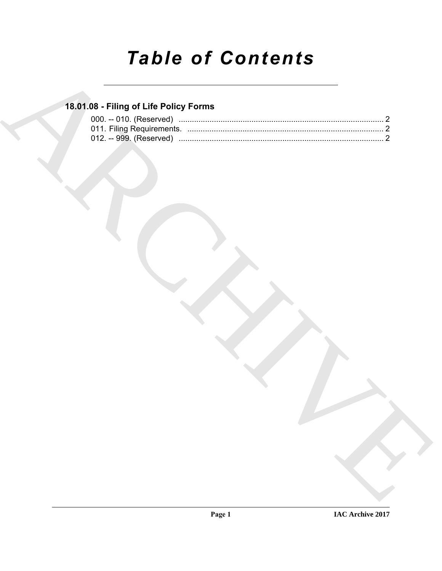# **Table of Contents**

### 18.01.08 - Filing of Life Policy Forms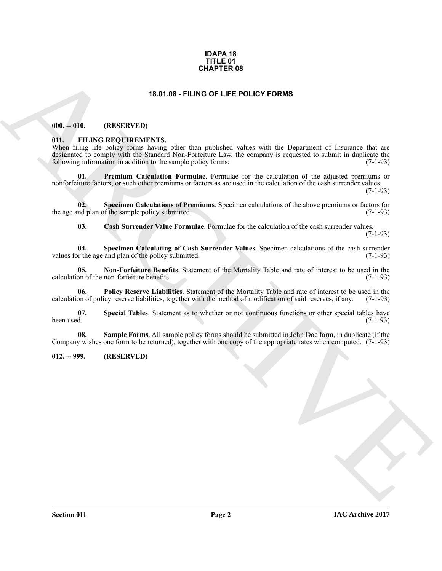#### **IDAPA 18 TITLE 01 CHAPTER 08**

#### **18.01.08 - FILING OF LIFE POLICY FORMS**

#### <span id="page-1-1"></span><span id="page-1-0"></span>**000. -- 010. (RESERVED)**

#### <span id="page-1-4"></span><span id="page-1-2"></span>**011. FILING REQUIREMENTS.**

**CHAPTER 08**<br> **CHAPTER 08**<br> **CHAPTER 09**<br> **CHAPTER OLD ARCHIVED**<br> **CHAPTER OLD ARCHIVED**<br> **CHAPTER OLD ARCHIVED**<br> **CHAPTER OLD ARCHIVED**<br> **CHAPTER OLD ARCHIVED**<br> **CHAPTER OLD ARCHIVED**<br> **CHAPTER OLD ARCHIVED**<br> **CHAPTER OL** When filing life policy forms having other than published values with the Department of Insurance that are designated to comply with the Standard Non-Forfeiture Law, the company is requested to submit in duplicate the following information in addition to the sample policy forms: (7-1-93) following information in addition to the sample policy forms:

<span id="page-1-8"></span>**01. Premium Calculation Formulae**. Formulae for the calculation of the adjusted premiums or nonforfeiture factors, or such other premiums or factors as are used in the calculation of the cash surrender values.

(7-1-93)

**02. Specimen Calculations of Premiums**. Specimen calculations of the above premiums or factors for the age and plan of the sample policy submitted. (7-1-93)

<span id="page-1-12"></span><span id="page-1-11"></span><span id="page-1-6"></span><span id="page-1-5"></span>**03. Cash Surrender Value Formulae**. Formulae for the calculation of the cash surrender values. (7-1-93)

**04. Specimen Calculating of Cash Surrender Values**. Specimen calculations of the cash surrender values for the age and plan of the policy submitted.

**05. Non-Forfeiture Benefits**. Statement of the Mortality Table and rate of interest to be used in the calculation of the non-forfeiture benefits. (7-1-93)

<span id="page-1-7"></span>**06. Policy Reserve Liabilities**. Statement of the Mortality Table and rate of interest to be used in the calculation of policy reserve liabilities, together with the method of modification of said reserves, if any. (7-1-93)

<span id="page-1-10"></span>**07.** Special Tables. Statement as to whether or not continuous functions or other special tables have been used. (7-1-93) been used. (7-1-93)

<span id="page-1-9"></span>**08. Sample Forms**. All sample policy forms should be submitted in John Doe form, in duplicate (if the Company wishes one form to be returned), together with one copy of the appropriate rates when computed. (7-1-93)

#### <span id="page-1-3"></span>**012. -- 999. (RESERVED)**